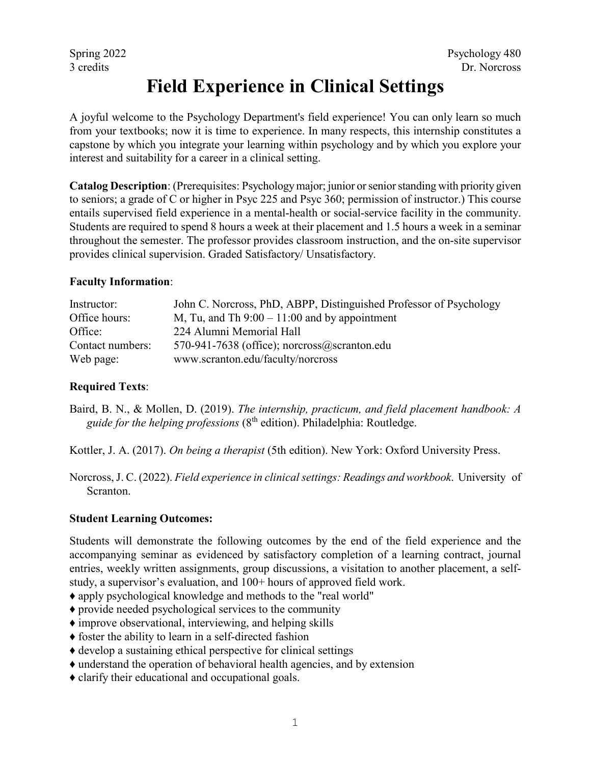# **Field Experience in Clinical Settings**

A joyful welcome to the Psychology Department's field experience! You can only learn so much from your textbooks; now it is time to experience. In many respects, this internship constitutes a capstone by which you integrate your learning within psychology and by which you explore your interest and suitability for a career in a clinical setting.

**Catalog Description**: (Prerequisites: Psychology major; junior or senior standing with priority given to seniors; a grade of C or higher in Psyc 225 and Psyc 360; permission of instructor.) This course entails supervised field experience in a mental-health or social-service facility in the community. Students are required to spend 8 hours a week at their placement and 1.5 hours a week in a seminar throughout the semester. The professor provides classroom instruction, and the on-site supervisor provides clinical supervision. Graded Satisfactory/ Unsatisfactory.

### **Faculty Information**:

| Instructor:      | John C. Norcross, PhD, ABPP, Distinguished Professor of Psychology |
|------------------|--------------------------------------------------------------------|
| Office hours:    | M, Tu, and Th $9:00 - 11:00$ and by appointment                    |
| Office:          | 224 Alumni Memorial Hall                                           |
| Contact numbers: | 570-941-7638 (office); norcross $@$ scranton.edu                   |
| Web page:        | www.scranton.edu/faculty/norcross                                  |

## **Required Texts**:

Baird, B. N., & Mollen, D. (2019). *The internship, practicum, and field placement handbook: A guide for the helping professions* (8th edition). Philadelphia: Routledge.

Kottler, J. A. (2017). *On being a therapist* (5th edition). New York: Oxford University Press.

Norcross, J. C. (2022). *Field experience in clinical settings: Readings and workbook*. University of Scranton.

### **Student Learning Outcomes:**

Students will demonstrate the following outcomes by the end of the field experience and the accompanying seminar as evidenced by satisfactory completion of a learning contract, journal entries, weekly written assignments, group discussions, a visitation to another placement, a selfstudy, a supervisor's evaluation, and 100+ hours of approved field work.

- ♦ apply psychological knowledge and methods to the "real world"
- ♦ provide needed psychological services to the community
- ♦ improve observational, interviewing, and helping skills
- ♦ foster the ability to learn in a self-directed fashion
- ♦ develop a sustaining ethical perspective for clinical settings
- ♦ understand the operation of behavioral health agencies, and by extension
- ♦ clarify their educational and occupational goals.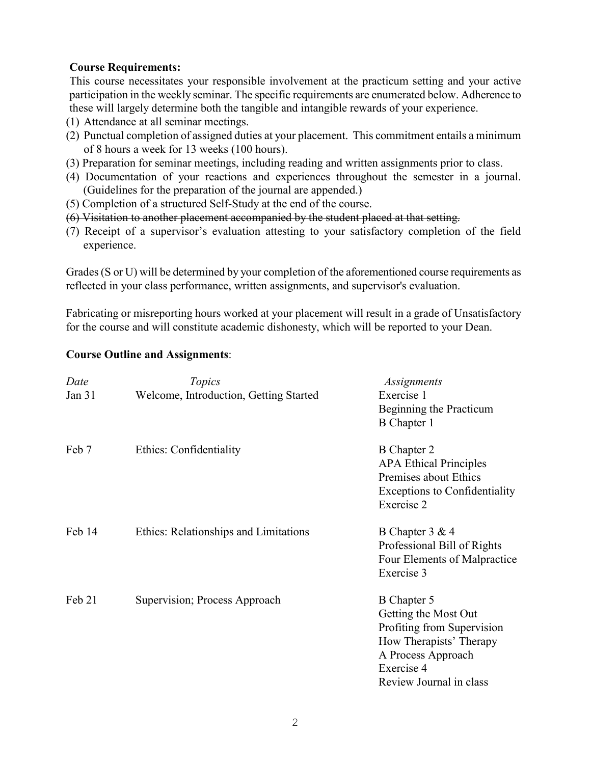#### **Course Requirements:**

This course necessitates your responsible involvement at the practicum setting and your active participation in the weekly seminar. The specific requirements are enumerated below. Adherence to these will largely determine both the tangible and intangible rewards of your experience.

- (1) Attendance at all seminar meetings.
- (2) Punctual completion of assigned duties at your placement. This commitment entails a minimum of 8 hours a week for 13 weeks (100 hours).
- (3) Preparation for seminar meetings, including reading and written assignments prior to class.
- (4) Documentation of your reactions and experiences throughout the semester in a journal. (Guidelines for the preparation of the journal are appended.)
- (5) Completion of a structured Self-Study at the end of the course.
- (6) Visitation to another placement accompanied by the student placed at that setting.
- (7) Receipt of a supervisor's evaluation attesting to your satisfactory completion of the field experience.

Grades (S or U) will be determined by your completion of the aforementioned course requirements as reflected in your class performance, written assignments, and supervisor's evaluation.

Fabricating or misreporting hours worked at your placement will result in a grade of Unsatisfactory for the course and will constitute academic dishonesty, which will be reported to your Dean.

#### **Course Outline and Assignments**:

| Date   | Topics                                 | <i>Assignments</i>                                                                                                                                          |
|--------|----------------------------------------|-------------------------------------------------------------------------------------------------------------------------------------------------------------|
| Jan 31 | Welcome, Introduction, Getting Started | Exercise 1<br>Beginning the Practicum<br>B Chapter 1                                                                                                        |
| Feb 7  | Ethics: Confidentiality                | <b>B</b> Chapter 2<br><b>APA Ethical Principles</b><br>Premises about Ethics<br><b>Exceptions to Confidentiality</b><br>Exercise 2                          |
| Feb 14 | Ethics: Relationships and Limitations  | B Chapter 3 & 4<br>Professional Bill of Rights<br>Four Elements of Malpractice<br>Exercise 3                                                                |
| Feb 21 | Supervision; Process Approach          | B Chapter 5<br>Getting the Most Out<br>Profiting from Supervision<br>How Therapists' Therapy<br>A Process Approach<br>Exercise 4<br>Review Journal in class |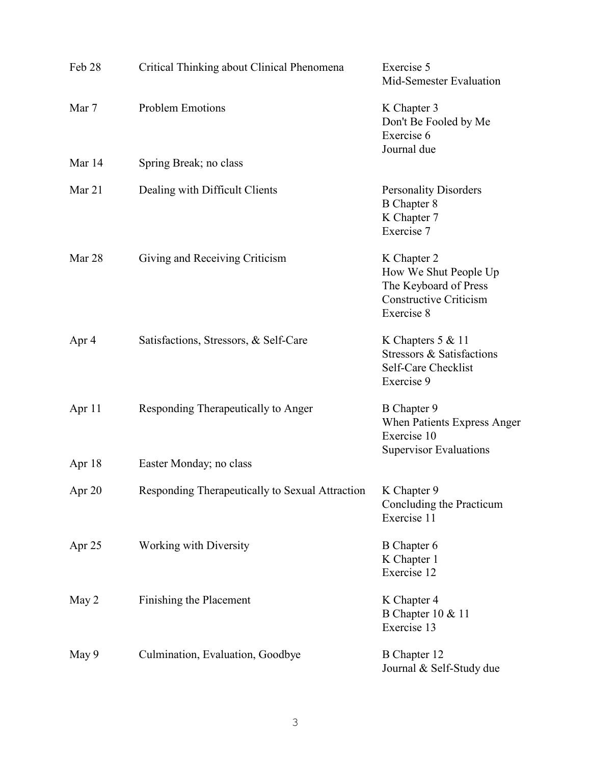| Feb 28   | Critical Thinking about Clinical Phenomena      | Exercise 5<br>Mid-Semester Evaluation                                                                        |
|----------|-------------------------------------------------|--------------------------------------------------------------------------------------------------------------|
| Mar 7    | Problem Emotions                                | K Chapter 3<br>Don't Be Fooled by Me<br>Exercise 6<br>Journal due                                            |
| Mar 14   | Spring Break; no class                          |                                                                                                              |
| Mar $21$ | Dealing with Difficult Clients                  | <b>Personality Disorders</b><br><b>B</b> Chapter 8<br>K Chapter 7<br>Exercise 7                              |
| Mar 28   | Giving and Receiving Criticism                  | K Chapter 2<br>How We Shut People Up<br>The Keyboard of Press<br><b>Constructive Criticism</b><br>Exercise 8 |
| Apr 4    | Satisfactions, Stressors, & Self-Care           | K Chapters $5 & 11$<br>Stressors & Satisfactions<br>Self-Care Checklist<br>Exercise 9                        |
| Apr 11   | Responding Therapeutically to Anger             | B Chapter 9<br>When Patients Express Anger<br>Exercise 10<br><b>Supervisor Evaluations</b>                   |
| Apr 18   | Easter Monday; no class                         |                                                                                                              |
| Apr 20   | Responding Therapeutically to Sexual Attraction | K Chapter 9<br>Concluding the Practicum<br>Exercise 11                                                       |
| Apr 25   | Working with Diversity                          | B Chapter 6<br>K Chapter 1<br>Exercise 12                                                                    |
| May 2    | Finishing the Placement                         | K Chapter 4<br>B Chapter 10 & 11<br>Exercise 13                                                              |
| May 9    | Culmination, Evaluation, Goodbye                | <b>B</b> Chapter 12<br>Journal & Self-Study due                                                              |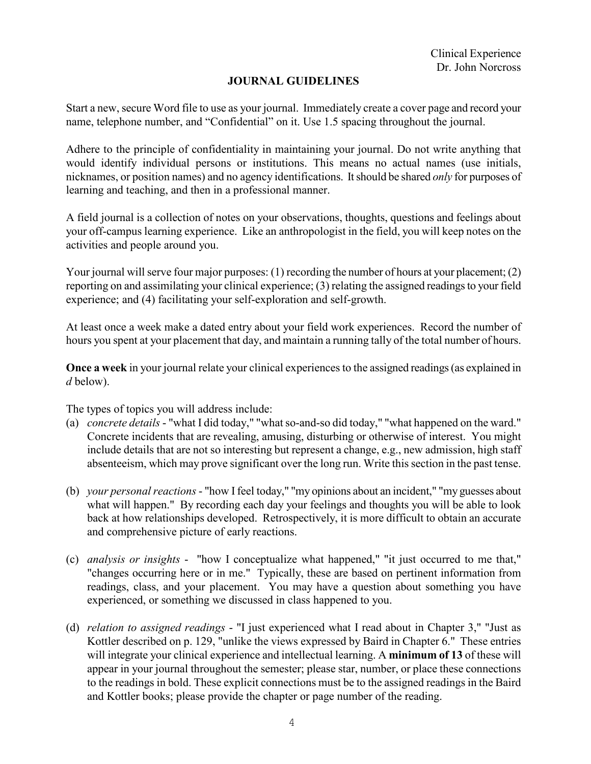## **JOURNAL GUIDELINES**

Start a new, secure Word file to use as your journal. Immediately create a cover page and record your name, telephone number, and "Confidential" on it. Use 1.5 spacing throughout the journal.

Adhere to the principle of confidentiality in maintaining your journal. Do not write anything that would identify individual persons or institutions. This means no actual names (use initials, nicknames, or position names) and no agency identifications. It should be shared *only* for purposes of learning and teaching, and then in a professional manner.

A field journal is a collection of notes on your observations, thoughts, questions and feelings about your off-campus learning experience. Like an anthropologist in the field, you will keep notes on the activities and people around you.

Your journal will serve four major purposes: (1) recording the number of hours at your placement; (2) reporting on and assimilating your clinical experience; (3) relating the assigned readings to your field experience; and (4) facilitating your self-exploration and self-growth.

At least once a week make a dated entry about your field work experiences. Record the number of hours you spent at your placement that day, and maintain a running tally of the total number of hours.

**Once a week** in your journal relate your clinical experiences to the assigned readings (as explained in *d* below).

The types of topics you will address include:

- (a) *concrete details* "what I did today," "what so-and-so did today," "what happened on the ward." Concrete incidents that are revealing, amusing, disturbing or otherwise of interest. You might include details that are not so interesting but represent a change, e.g., new admission, high staff absenteeism, which may prove significant over the long run. Write this section in the past tense.
- (b) *your personal reactions* "how I feel today," "my opinions about an incident," "my guesses about what will happen." By recording each day your feelings and thoughts you will be able to look back at how relationships developed. Retrospectively, it is more difficult to obtain an accurate and comprehensive picture of early reactions.
- (c) *analysis or insights* "how I conceptualize what happened," "it just occurred to me that," "changes occurring here or in me." Typically, these are based on pertinent information from readings, class, and your placement. You may have a question about something you have experienced, or something we discussed in class happened to you.
- (d) *relation to assigned readings* "I just experienced what I read about in Chapter 3," "Just as Kottler described on p. 129, "unlike the views expressed by Baird in Chapter 6." These entries will integrate your clinical experience and intellectual learning. A **minimum of 13** of these will appear in your journal throughout the semester; please star, number, or place these connections to the readings in bold. These explicit connections must be to the assigned readings in the Baird and Kottler books; please provide the chapter or page number of the reading.